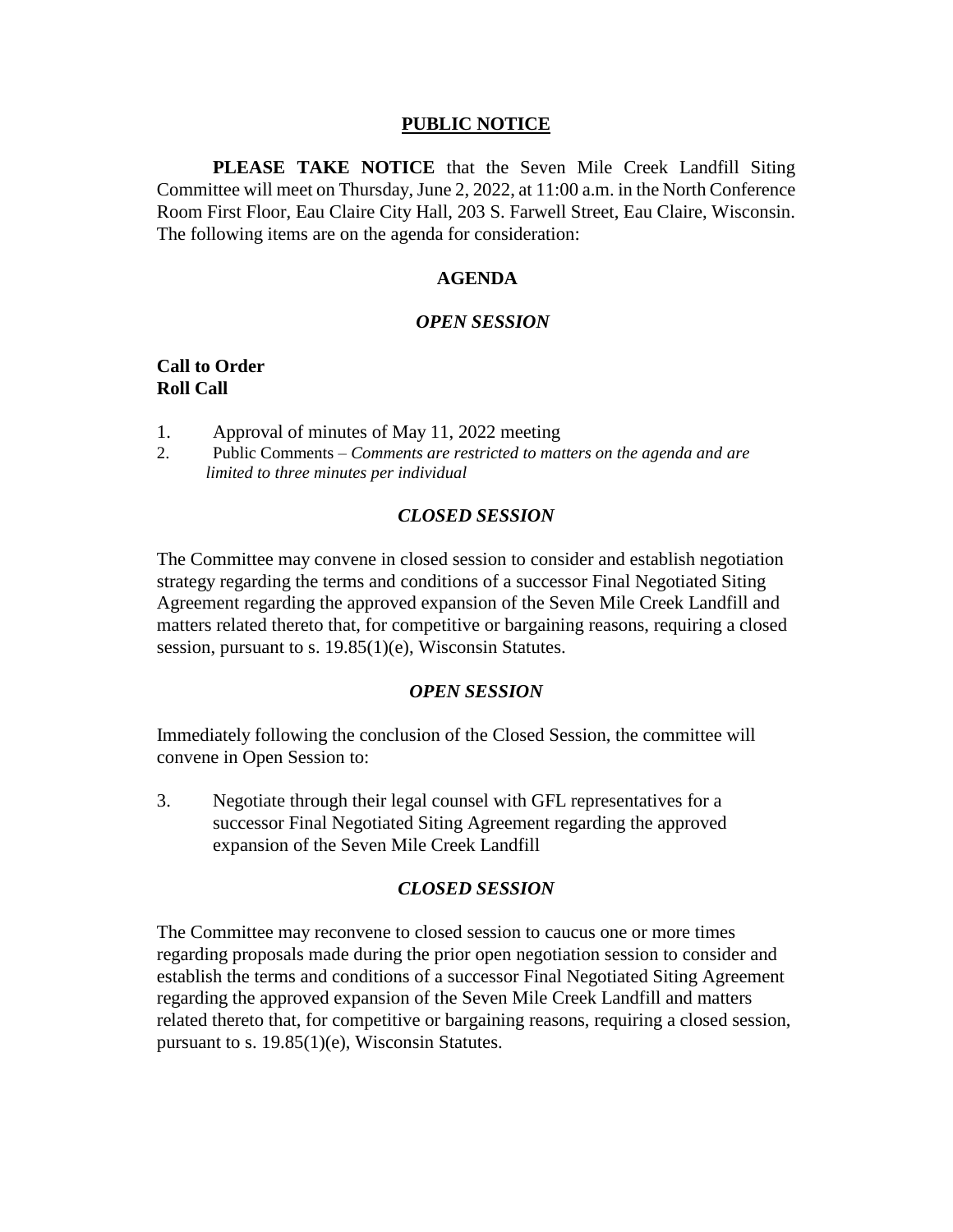### **PUBLIC NOTICE**

**PLEASE TAKE NOTICE** that the Seven Mile Creek Landfill Siting Committee will meet on Thursday, June 2, 2022, at 11:00 a.m. in the North Conference Room First Floor, Eau Claire City Hall, 203 S. Farwell Street, Eau Claire, Wisconsin. The following items are on the agenda for consideration:

### **AGENDA**

#### *OPEN SESSION*

## **Call to Order Roll Call**

- 1. Approval of minutes of May 11, 2022 meeting
- 2. Public Comments *Comments are restricted to matters on the agenda and are limited to three minutes per individual*

#### *CLOSED SESSION*

The Committee may convene in closed session to consider and establish negotiation strategy regarding the terms and conditions of a successor Final Negotiated Siting Agreement regarding the approved expansion of the Seven Mile Creek Landfill and matters related thereto that, for competitive or bargaining reasons, requiring a closed session, pursuant to s. 19.85(1)(e), Wisconsin Statutes.

#### *OPEN SESSION*

Immediately following the conclusion of the Closed Session, the committee will convene in Open Session to:

3. Negotiate through their legal counsel with GFL representatives for a successor Final Negotiated Siting Agreement regarding the approved expansion of the Seven Mile Creek Landfill

### *CLOSED SESSION*

The Committee may reconvene to closed session to caucus one or more times regarding proposals made during the prior open negotiation session to consider and establish the terms and conditions of a successor Final Negotiated Siting Agreement regarding the approved expansion of the Seven Mile Creek Landfill and matters related thereto that, for competitive or bargaining reasons, requiring a closed session, pursuant to s. 19.85(1)(e), Wisconsin Statutes.